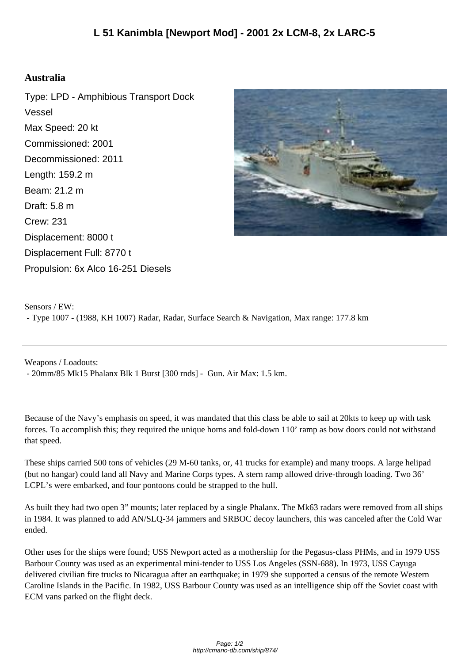## **Australia**

Type: LPD - Amphibious Transport Dock Vessel Max Speed: 20 kt Commissioned: 2001 Decommissioned: 2011 Length: 159.2 m Beam: 21.2 m Draft: 5.8 m Crew: 231 Displacement: 8000 t Displacement Full: 8770 t Propulsion: 6x Alco 16-251 Diesels



Sensors / EW: - Type 1007 - (1988, KH 1007) Radar, Radar, Surface Search & Navigation, Max range: 177.8 km

Weapons / Loadouts:

- 20mm/85 Mk15 Phalanx Blk 1 Burst [300 rnds] - Gun. Air Max: 1.5 km.

Because of the Navy's emphasis on speed, it was mandated that this class be able to sail at 20kts to keep up with task forces. To accomplish this; they required the unique horns and fold-down 110' ramp as bow doors could not withstand that speed.

These ships carried 500 tons of vehicles (29 M-60 tanks, or, 41 trucks for example) and many troops. A large helipad (but no hangar) could land all Navy and Marine Corps types. A stern ramp allowed drive-through loading. Two 36' LCPL's were embarked, and four pontoons could be strapped to the hull.

As built they had two open 3" mounts; later replaced by a single Phalanx. The Mk63 radars were removed from all ships in 1984. It was planned to add AN/SLQ-34 jammers and SRBOC decoy launchers, this was canceled after the Cold War ended.

Other uses for the ships were found; USS Newport acted as a mothership for the Pegasus-class PHMs, and in 1979 USS Barbour County was used as an experimental mini-tender to USS Los Angeles (SSN-688). In 1973, USS Cayuga delivered civilian fire trucks to Nicaragua after an earthquake; in 1979 she supported a census of the remote Western Caroline Islands in the Pacific. In 1982, USS Barbour County was used as an intelligence ship off the Soviet coast with ECM vans parked on the flight deck.